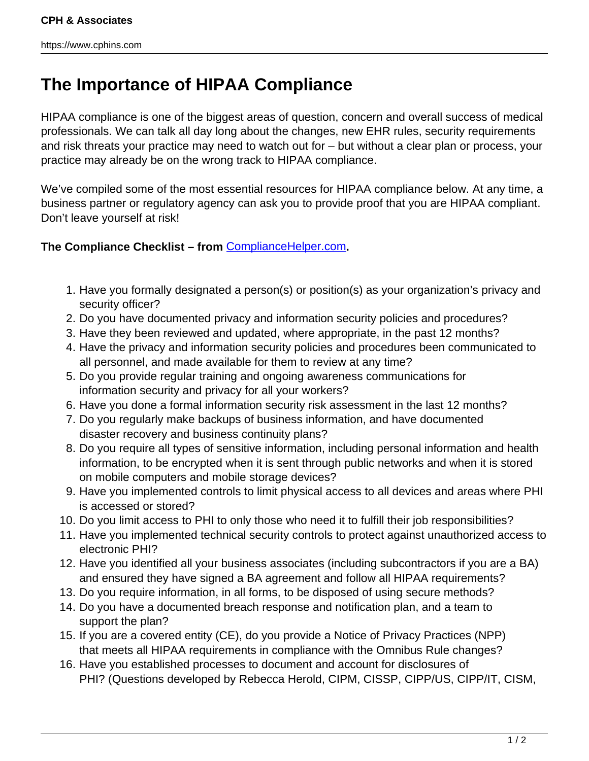## **The Importance of HIPAA Compliance**

HIPAA compliance is one of the biggest areas of question, concern and overall success of medical professionals. We can talk all day long about the changes, new EHR rules, security requirements and risk threats your practice may need to watch out for – but without a clear plan or process, your practice may already be on the wrong track to HIPAA compliance.

We've compiled some of the most essential resources for HIPAA compliance below. At any time, a business partner or regulatory agency can ask you to provide proof that you are HIPAA compliant. Don't leave yourself at risk!

## **The Compliance Checklist – from** [ComplianceHelper.com](http://www.compliancehelper.com/hipaa-checklist.pdf)**.**

- 1. Have you formally designated a person(s) or position(s) as your organization's privacy and security officer?
- 2. Do you have documented privacy and information security policies and procedures?
- 3. Have they been reviewed and updated, where appropriate, in the past 12 months?
- 4. Have the privacy and information security policies and procedures been communicated to all personnel, and made available for them to review at any time?
- 5. Do you provide regular training and ongoing awareness communications for information security and privacy for all your workers?
- 6. Have you done a formal information security risk assessment in the last 12 months?
- 7. Do you regularly make backups of business information, and have documented disaster recovery and business continuity plans?
- 8. Do you require all types of sensitive information, including personal information and health information, to be encrypted when it is sent through public networks and when it is stored on mobile computers and mobile storage devices?
- 9. Have you implemented controls to limit physical access to all devices and areas where PHI is accessed or stored?
- 10. Do you limit access to PHI to only those who need it to fulfill their job responsibilities?
- 11. Have you implemented technical security controls to protect against unauthorized access to electronic PHI?
- 12. Have you identified all your business associates (including subcontractors if you are a BA) and ensured they have signed a BA agreement and follow all HIPAA requirements?
- 13. Do you require information, in all forms, to be disposed of using secure methods?
- 14. Do you have a documented breach response and notification plan, and a team to support the plan?
- 15. If you are a covered entity (CE), do you provide a Notice of Privacy Practices (NPP) that meets all HIPAA requirements in compliance with the Omnibus Rule changes?
- 16. Have you established processes to document and account for disclosures of PHI? (Questions developed by Rebecca Herold, CIPM, CISSP, CIPP/US, CIPP/IT, CISM,